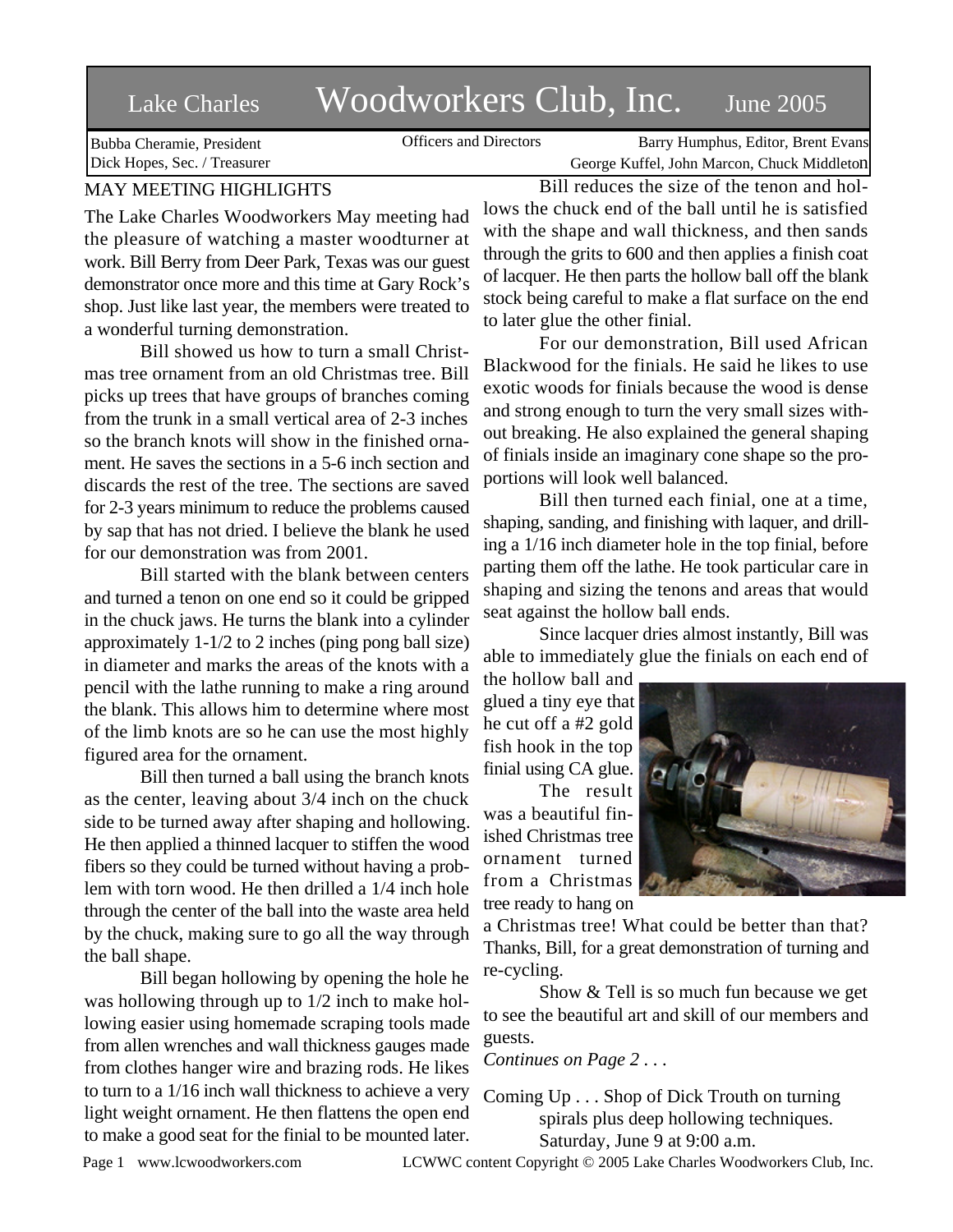# Lake Charles Woodworkers Club, Inc. June 2005

Officers and Directors Barry Humphus, Editor, Brent Evans George Kuffel, John Marcon, Chuck Middleton

Bubba Cheramie, President Dick Hopes, Sec. / Treasurer

## MAY MEETING HIGHLIGHTS

The Lake Charles Woodworkers May meeting had the pleasure of watching a master woodturner at work. Bill Berry from Deer Park, Texas was our guest demonstrator once more and this time at Gary Rock's shop. Just like last year, the members were treated to a wonderful turning demonstration.

Bill showed us how to turn a small Christmas tree ornament from an old Christmas tree. Bill picks up trees that have groups of branches coming from the trunk in a small vertical area of 2-3 inches so the branch knots will show in the finished ornament. He saves the sections in a 5-6 inch section and discards the rest of the tree. The sections are saved for 2-3 years minimum to reduce the problems caused by sap that has not dried. I believe the blank he used for our demonstration was from 2001.

Bill started with the blank between centers and turned a tenon on one end so it could be gripped in the chuck jaws. He turns the blank into a cylinder approximately 1-1/2 to 2 inches (ping pong ball size) in diameter and marks the areas of the knots with a pencil with the lathe running to make a ring around the blank. This allows him to determine where most of the limb knots are so he can use the most highly figured area for the ornament.

Bill then turned a ball using the branch knots as the center, leaving about 3/4 inch on the chuck side to be turned away after shaping and hollowing. He then applied a thinned lacquer to stiffen the wood fibers so they could be turned without having a problem with torn wood. He then drilled a 1/4 inch hole through the center of the ball into the waste area held by the chuck, making sure to go all the way through the ball shape.

Bill began hollowing by opening the hole he was hollowing through up to 1/2 inch to make hollowing easier using homemade scraping tools made from allen wrenches and wall thickness gauges made from clothes hanger wire and brazing rods. He likes to turn to a 1/16 inch wall thickness to achieve a very light weight ornament. He then flattens the open end to make a good seat for the finial to be mounted later.

Bill reduces the size of the tenon and hollows the chuck end of the ball until he is satisfied with the shape and wall thickness, and then sands through the grits to 600 and then applies a finish coat of lacquer. He then parts the hollow ball off the blank stock being careful to make a flat surface on the end to later glue the other finial.

For our demonstration, Bill used African Blackwood for the finials. He said he likes to use exotic woods for finials because the wood is dense and strong enough to turn the very small sizes without breaking. He also explained the general shaping of finials inside an imaginary cone shape so the proportions will look well balanced.

Bill then turned each finial, one at a time, shaping, sanding, and finishing with laquer, and drilling a 1/16 inch diameter hole in the top finial, before parting them off the lathe. He took particular care in shaping and sizing the tenons and areas that would seat against the hollow ball ends.

Since lacquer dries almost instantly, Bill was able to immediately glue the finials on each end of

the hollow ball and glued a tiny eye that he cut off a #2 gold fish hook in the top finial using CA glue.

The result was a beautiful finished Christmas tree ornament turned from a Christmas tree ready to hang on



a Christmas tree! What could be better than that? Thanks, Bill, for a great demonstration of turning and re-cycling.

Show & Tell is so much fun because we get to see the beautiful art and skill of our members and guests.

*Continues on Page 2 . . .*

Coming Up . . . Shop of Dick Trouth on turning spirals plus deep hollowing techniques. Saturday, June 9 at 9:00 a.m.

Page 1 www.lcwoodworkers.com LCWWC content Copyright © 2005 Lake Charles Woodworkers Club, Inc.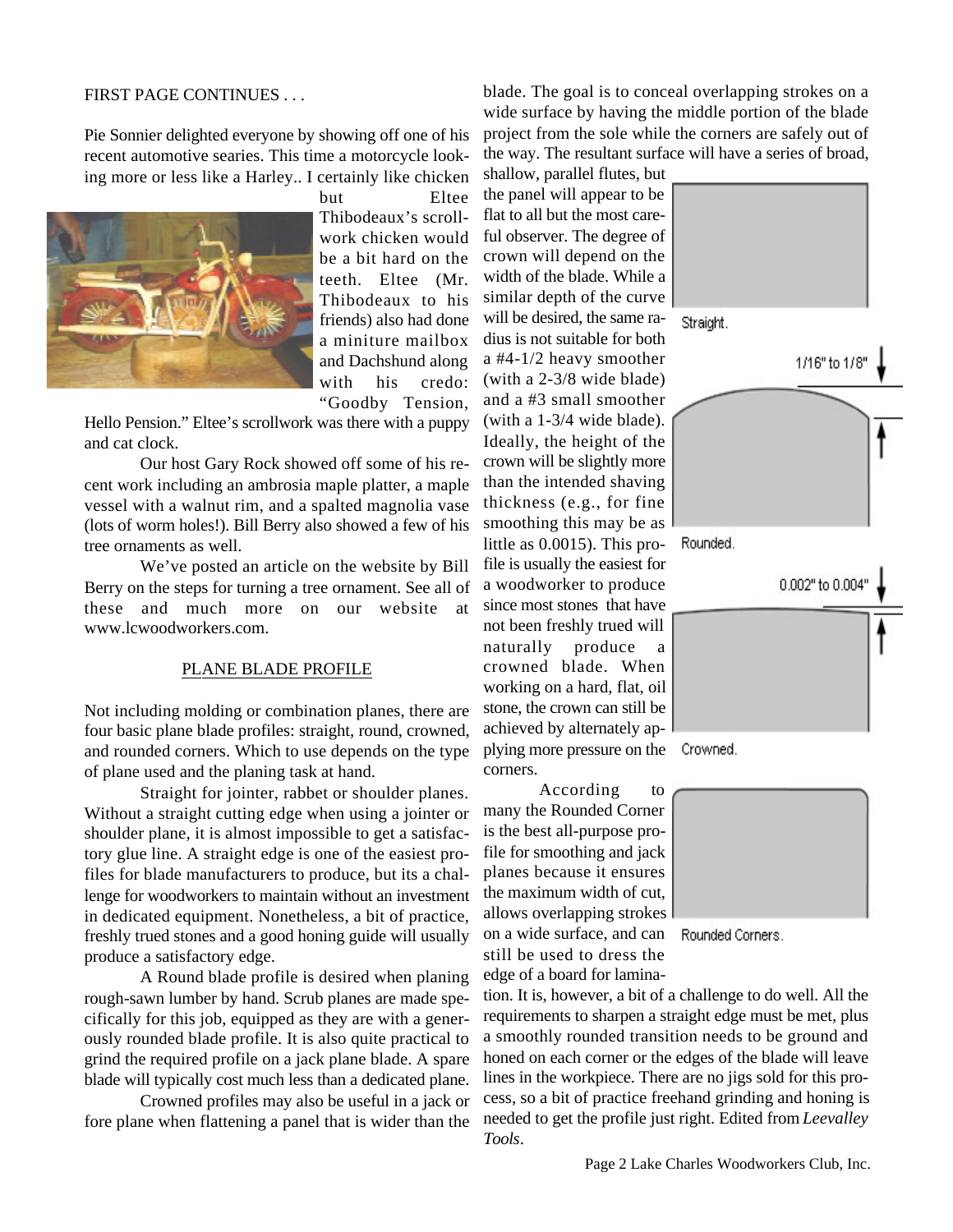### FIRST PAGE CONTINUES . . .

Pie Sonnier delighted everyone by showing off one of his recent automotive searies. This time a motorcycle looking more or less like a Harley.. I certainly like chicken



but Eltee Thibodeaux's scrollwork chicken would be a bit hard on the teeth. Eltee (Mr. Thibodeaux to his friends) also had done a miniture mailbox and Dachshund along with his credo: "Goodby Tension,

Hello Pension." Eltee's scrollwork was there with a puppy and cat clock.

Our host Gary Rock showed off some of his recent work including an ambrosia maple platter, a maple vessel with a walnut rim, and a spalted magnolia vase (lots of worm holes!). Bill Berry also showed a few of his tree ornaments as well.

We've posted an article on the website by Bill Berry on the steps for turning a tree ornament. See all of these and much more on our website at www.lcwoodworkers.com.

#### PLANE BLADE PROFILE

Not including molding or combination planes, there are four basic plane blade profiles: straight, round, crowned, and rounded corners. Which to use depends on the type of plane used and the planing task at hand.

Straight for jointer, rabbet or shoulder planes. Without a straight cutting edge when using a jointer or shoulder plane, it is almost impossible to get a satisfactory glue line. A straight edge is one of the easiest profiles for blade manufacturers to produce, but its a challenge for woodworkers to maintain without an investment in dedicated equipment. Nonetheless, a bit of practice, freshly trued stones and a good honing guide will usually produce a satisfactory edge.

A Round blade profile is desired when planing rough-sawn lumber by hand. Scrub planes are made specifically for this job, equipped as they are with a generously rounded blade profile. It is also quite practical to grind the required profile on a jack plane blade. A spare blade will typically cost much less than a dedicated plane.

Crowned profiles may also be useful in a jack or fore plane when flattening a panel that is wider than the blade. The goal is to conceal overlapping strokes on a wide surface by having the middle portion of the blade project from the sole while the corners are safely out of the way. The resultant surface will have a series of broad,

shallow, parallel flutes, but the panel will appear to be flat to all but the most careful observer. The degree of crown will depend on the width of the blade. While a similar depth of the curve will be desired, the same radius is not suitable for both a #4-1/2 heavy smoother (with a 2-3/8 wide blade) and a #3 small smoother (with a 1-3/4 wide blade). Ideally, the height of the crown will be slightly more than the intended shaving thickness (e.g., for fine smoothing this may be as little as 0.0015). This profile is usually the easiest for a woodworker to produce since most stones that have not been freshly trued will naturally produce a crowned blade. When working on a hard, flat, oil stone, the crown can still be achieved by alternately applying more pressure on the corners.

According to many the Rounded Corner is the best all-purpose profile for smoothing and jack planes because it ensures the maximum width of cut, allows overlapping strokes on a wide surface, and can still be used to dress the edge of a board for lamina-



Crowned.



Rounded Corners.

tion. It is, however, a bit of a challenge to do well. All the requirements to sharpen a straight edge must be met, plus a smoothly rounded transition needs to be ground and honed on each corner or the edges of the blade will leave lines in the workpiece. There are no jigs sold for this process, so a bit of practice freehand grinding and honing is needed to get the profile just right. Edited from *Leevalley Tools*.